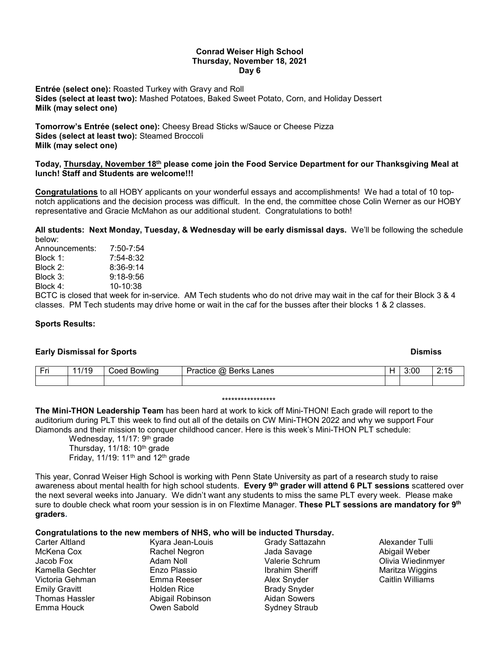### **Conrad Weiser High School Thursday, November 18, 2021 Day 6**

**Entrée (select one):** Roasted Turkey with Gravy and Roll **Sides (select at least two):** Mashed Potatoes, Baked Sweet Potato, Corn, and Holiday Dessert **Milk (may select one)**

**Tomorrow's Entrée (select one):** Cheesy Bread Sticks w/Sauce or Cheese Pizza **Sides (select at least two):** Steamed Broccoli **Milk (may select one)**

### **Today, Thursday, November 18th please come join the Food Service Department for our Thanksgiving Meal at lunch! Staff and Students are welcome!!!**

**Congratulations** to all HOBY applicants on your wonderful essays and accomplishments! We had a total of 10 topnotch applications and the decision process was difficult. In the end, the committee chose Colin Werner as our HOBY representative and Gracie McMahon as our additional student. Congratulations to both!

**All students: Next Monday, Tuesday, & Wednesday will be early dismissal days.** We'll be following the schedule below:

| Announcements:                                | $7:50 - 7:54$ |
|-----------------------------------------------|---------------|
| Block 1:                                      | 7:54-8:32     |
| Block 2:                                      | $8:36-9:14$   |
| Block 3:                                      | $9:18 - 9:56$ |
| Block 4:                                      | $10-10:38$    |
| $\mathsf{DATEC}$ is also ad that would fax in |               |

BCTC is closed that week for in-service. AM Tech students who do not drive may wait in the caf for their Block 3 & 4 classes. PM Tech students may drive home or wait in the caf for the busses after their blocks 1 & 2 classes.

## **Sports Results:**

# **Early Dismissal for Sports And The Contract of Sports And The Contract of Sports And The Dismission Dismission Dismission Dismission Dismission Dismission Dismission Dismission Dismission Dismission Dismission Dismission**

# Fri 11/19 | Coed Bowling | Practice @ Berks Lanes | H | 3:00 | 2:15

#### \*\*\*\*\*\*\*\*\*\*\*\*\*\*\*\*\*

**The Mini-THON Leadership Team** has been hard at work to kick off Mini-THON! Each grade will report to the auditorium during PLT this week to find out all of the details on CW Mini-THON 2022 and why we support Four Diamonds and their mission to conquer childhood cancer. Here is this week's Mini-THON PLT schedule:

Wednesday,  $11/17$ :  $9<sup>th</sup>$  grade Thursday,  $11/18$ :  $10<sup>th</sup>$  grade Friday,  $11/19$ :  $11<sup>th</sup>$  and  $12<sup>th</sup>$  grade

This year, Conrad Weiser High School is working with Penn State University as part of a research study to raise awareness about mental health for high school students. **Every 9th grader will attend 6 PLT sessions** scattered over the next several weeks into January. We didn't want any students to miss the same PLT every week. Please make sure to double check what room your session is in on Flextime Manager. **These PLT sessions are mandatory for 9th graders.**

### **Congratulations to the new members of NHS, who will be inducted Thursday.**

| Carter Altland<br>Kyara Jean-Louis  | Grady Sattazahn        |
|-------------------------------------|------------------------|
| McKena Cox<br>Rachel Negron         | Jada Savage            |
| Jacob Fox<br>Adam Noll              | Valerie Schrum         |
| Kamella Gechter<br>Enzo Plassio     | <b>Ibrahim Sheriff</b> |
| Victoria Gehman<br>Emma Reeser      | Alex Snyder            |
| Emily Gravitt<br><b>Holden Rice</b> | <b>Brady Snyder</b>    |
| Thomas Hassler<br>Abigail Robinson  | <b>Aidan Sowers</b>    |
| Owen Sabold<br>Emma Houck           | <b>Sydney Straub</b>   |

Alexander Tulli Abigail Weber Olivia Wiedinmyer Maritza Wiggins Caitlin Williams